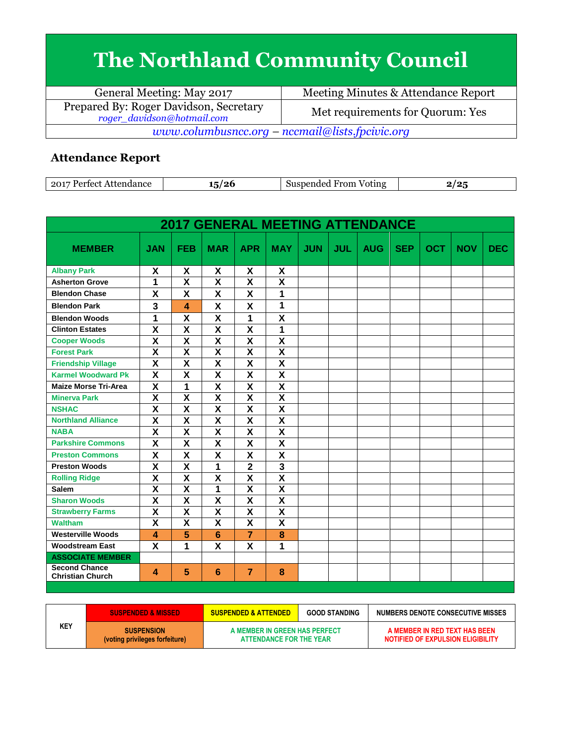## **The Northland Community Council**

| General Meeting: May 2017                                            | Meeting Minutes & Attendance Report |  |  |  |  |
|----------------------------------------------------------------------|-------------------------------------|--|--|--|--|
| Prepared By: Roger Davidson, Secretary<br>roger_davidson@hotmail.com | Met requirements for Quorum: Yes    |  |  |  |  |
| www.columbusncc.org – nccmail@lists.fpcivic.org                      |                                     |  |  |  |  |

## **Attendance Report**

| $-2017$<br>Perfect<br>Attendance | ுடை<br>ູ | Voting<br>Suspended<br>From | .101 |
|----------------------------------|----------|-----------------------------|------|

| <b>2017 GENERAL MEETING ATTENDANCE</b>          |                           |                         |                           |                         |                           |            |            |            |            |            |            |            |
|-------------------------------------------------|---------------------------|-------------------------|---------------------------|-------------------------|---------------------------|------------|------------|------------|------------|------------|------------|------------|
| <b>MEMBER</b>                                   | <b>JAN</b>                | <b>FEB</b>              | <b>MAR</b>                | <b>APR</b>              | <b>MAY</b>                | <b>JUN</b> | <b>JUL</b> | <b>AUG</b> | <b>SEP</b> | <b>OCT</b> | <b>NOV</b> | <b>DEC</b> |
| <b>Albany Park</b>                              | X                         | X                       | X                         | X                       | X                         |            |            |            |            |            |            |            |
| <b>Asherton Grove</b>                           | 1                         | $\overline{\mathbf{X}}$ | X                         | X                       | $\overline{\mathsf{x}}$   |            |            |            |            |            |            |            |
| <b>Blendon Chase</b>                            | X                         | X                       | X                         | X                       | 1                         |            |            |            |            |            |            |            |
| <b>Blendon Park</b>                             | 3                         | 4                       | X                         | X                       | 1                         |            |            |            |            |            |            |            |
| <b>Blendon Woods</b>                            | 1                         | $\overline{\mathsf{x}}$ | $\overline{\mathsf{x}}$   | 1                       | $\overline{\mathsf{x}}$   |            |            |            |            |            |            |            |
| <b>Clinton Estates</b>                          | $\overline{\mathsf{x}}$   | $\overline{\mathsf{x}}$ | $\overline{\mathsf{x}}$   | $\overline{\textsf{x}}$ | 1                         |            |            |            |            |            |            |            |
| <b>Cooper Woods</b>                             | X                         | $\overline{\mathbf{X}}$ | X                         | X                       | $\overline{\mathbf{X}}$   |            |            |            |            |            |            |            |
| <b>Forest Park</b>                              | X                         | $\overline{\mathbf{X}}$ | $\overline{\mathsf{x}}$   | $\overline{\mathsf{x}}$ | $\overline{\mathbf{X}}$   |            |            |            |            |            |            |            |
| <b>Friendship Village</b>                       | $\overline{\mathsf{x}}$   | $\overline{\mathsf{x}}$ | $\overline{\mathsf{x}}$   | $\overline{\mathsf{x}}$ | $\overline{\mathsf{x}}$   |            |            |            |            |            |            |            |
| <b>Karmel Woodward Pk</b>                       | X                         | X                       | $\boldsymbol{\mathsf{x}}$ | $\overline{\mathsf{x}}$ | $\overline{\mathbf{X}}$   |            |            |            |            |            |            |            |
| <b>Maize Morse Tri-Area</b>                     | $\overline{\mathsf{x}}$   | 1                       | $\overline{\mathsf{x}}$   | $\overline{\textsf{x}}$ | $\overline{\mathsf{x}}$   |            |            |            |            |            |            |            |
| <b>Minerva Park</b>                             | $\overline{\mathsf{x}}$   | $\overline{\mathbf{X}}$ | $\overline{\mathbf{x}}$   | $\overline{\textsf{x}}$ | $\overline{\mathbf{X}}$   |            |            |            |            |            |            |            |
| <b>NSHAC</b>                                    | $\overline{\mathbf{x}}$   | $\overline{\mathsf{x}}$ | $\overline{\mathbf{x}}$   | $\overline{\textbf{x}}$ | $\overline{\mathbf{x}}$   |            |            |            |            |            |            |            |
| <b>Northland Alliance</b>                       | $\overline{\mathsf{x}}$   | $\overline{\mathsf{x}}$ | $\overline{\mathsf{x}}$   | $\overline{\textsf{x}}$ | $\overline{\mathbf{X}}$   |            |            |            |            |            |            |            |
| <b>NABA</b>                                     | $\overline{\mathsf{x}}$   | $\overline{\mathsf{x}}$ | $\overline{\mathsf{x}}$   | $\overline{\textsf{x}}$ | $\overline{\mathsf{x}}$   |            |            |            |            |            |            |            |
| <b>Parkshire Commons</b>                        | $\overline{\mathsf{x}}$   | $\overline{\mathbf{x}}$ | X                         | $\overline{\mathsf{x}}$ | $\overline{\mathbf{X}}$   |            |            |            |            |            |            |            |
| <b>Preston Commons</b>                          | $\overline{\mathsf{x}}$   | $\overline{\mathbf{X}}$ | $\overline{\mathsf{x}}$   | X                       | $\overline{\mathbf{x}}$   |            |            |            |            |            |            |            |
| <b>Preston Woods</b>                            | $\overline{\mathbf{x}}$   | $\overline{\mathbf{X}}$ | 1                         | $\overline{2}$          | $\overline{\mathbf{3}}$   |            |            |            |            |            |            |            |
| <b>Rolling Ridge</b>                            | X                         | $\overline{\mathbf{X}}$ | $\overline{\mathbf{X}}$   | X                       | $\overline{\mathbf{X}}$   |            |            |            |            |            |            |            |
| <b>Salem</b>                                    | $\overline{\mathsf{x}}$   | $\overline{\mathsf{x}}$ | 1                         | $\overline{\mathsf{x}}$ | $\overline{\mathsf{x}}$   |            |            |            |            |            |            |            |
| <b>Sharon Woods</b>                             | $\overline{\mathsf{x}}$   | $\overline{\mathsf{x}}$ | $\overline{\mathsf{x}}$   | $\overline{\mathsf{x}}$ | $\overline{\mathsf{x}}$   |            |            |            |            |            |            |            |
| <b>Strawberry Farms</b>                         | X                         | $\pmb{\mathsf{X}}$      | $\boldsymbol{\mathsf{X}}$ | X                       | $\boldsymbol{\mathsf{X}}$ |            |            |            |            |            |            |            |
| <b>Waltham</b>                                  | $\overline{\mathsf{x}}$   | $\overline{\mathbf{X}}$ | $\overline{\mathbf{x}}$   | $\overline{\mathsf{x}}$ | $\overline{\mathbf{X}}$   |            |            |            |            |            |            |            |
| <b>Westerville Woods</b>                        | 4                         | 5                       | 6                         | $\overline{7}$          | 8                         |            |            |            |            |            |            |            |
| <b>Woodstream East</b>                          | $\boldsymbol{\mathsf{X}}$ | 1                       | X                         | $\overline{\mathsf{x}}$ | 1                         |            |            |            |            |            |            |            |
| <b>ASSOCIATE MEMBER</b>                         |                           |                         |                           |                         |                           |            |            |            |            |            |            |            |
| <b>Second Chance</b><br><b>Christian Church</b> | 4                         | 5                       | 6                         | $\overline{7}$          | 8                         |            |            |            |            |            |            |            |

|            | <b>SUSPENDED &amp; MISSED</b>                       | <b>SUSPENDED &amp; ATTENDED</b>                          | <b>GOOD STANDING</b> | NUMBERS DENOTE CONSECUTIVE MISSES                                  |
|------------|-----------------------------------------------------|----------------------------------------------------------|----------------------|--------------------------------------------------------------------|
| <b>KEY</b> | <b>SUSPENSION</b><br>(voting privileges forfeiture) | A MEMBER IN GREEN HAS PERFECT<br>ATTENDANCE FOR THE YEAR |                      | A MEMBER IN RED TEXT HAS BEEN<br>NOTIFIED OF EXPULSION ELIGIBILITY |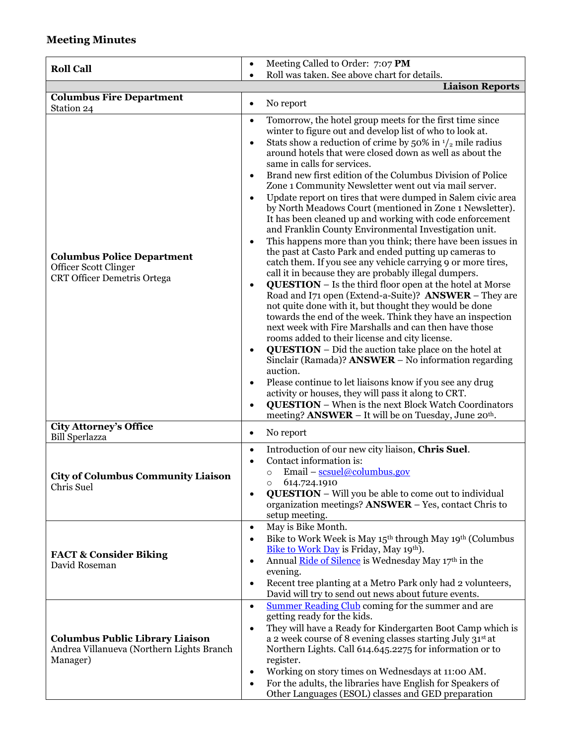## **Meeting Minutes**

| <b>Roll Call</b>                                                                                                      | Meeting Called to Order: 7:07 PM<br>$\bullet$                                                                                                                                                                                                                                                                                                                                                                                                                                                                                                                                                                                                                                                                                                                                                                                                                                                                                                                                                                                                                                                                                                                                                                                                                                                                                                                                                                                                                                                                                                                                                                                                                                                                                                                              |  |  |  |  |
|-----------------------------------------------------------------------------------------------------------------------|----------------------------------------------------------------------------------------------------------------------------------------------------------------------------------------------------------------------------------------------------------------------------------------------------------------------------------------------------------------------------------------------------------------------------------------------------------------------------------------------------------------------------------------------------------------------------------------------------------------------------------------------------------------------------------------------------------------------------------------------------------------------------------------------------------------------------------------------------------------------------------------------------------------------------------------------------------------------------------------------------------------------------------------------------------------------------------------------------------------------------------------------------------------------------------------------------------------------------------------------------------------------------------------------------------------------------------------------------------------------------------------------------------------------------------------------------------------------------------------------------------------------------------------------------------------------------------------------------------------------------------------------------------------------------------------------------------------------------------------------------------------------------|--|--|--|--|
|                                                                                                                       | Roll was taken. See above chart for details.                                                                                                                                                                                                                                                                                                                                                                                                                                                                                                                                                                                                                                                                                                                                                                                                                                                                                                                                                                                                                                                                                                                                                                                                                                                                                                                                                                                                                                                                                                                                                                                                                                                                                                                               |  |  |  |  |
|                                                                                                                       | <b>Liaison Reports</b>                                                                                                                                                                                                                                                                                                                                                                                                                                                                                                                                                                                                                                                                                                                                                                                                                                                                                                                                                                                                                                                                                                                                                                                                                                                                                                                                                                                                                                                                                                                                                                                                                                                                                                                                                     |  |  |  |  |
| <b>Columbus Fire Department</b>                                                                                       | No report<br>$\bullet$                                                                                                                                                                                                                                                                                                                                                                                                                                                                                                                                                                                                                                                                                                                                                                                                                                                                                                                                                                                                                                                                                                                                                                                                                                                                                                                                                                                                                                                                                                                                                                                                                                                                                                                                                     |  |  |  |  |
| Station 24<br><b>Columbus Police Department</b><br><b>Officer Scott Clinger</b><br><b>CRT Officer Demetris Ortega</b> | Tomorrow, the hotel group meets for the first time since<br>$\bullet$<br>winter to figure out and develop list of who to look at.<br>Stats show a reduction of crime by 50% in $\frac{1}{2}$ mile radius<br>$\bullet$<br>around hotels that were closed down as well as about the<br>same in calls for services.<br>Brand new first edition of the Columbus Division of Police<br>$\bullet$<br>Zone 1 Community Newsletter went out via mail server.<br>Update report on tires that were dumped in Salem civic area<br>$\bullet$<br>by North Meadows Court (mentioned in Zone 1 Newsletter).<br>It has been cleaned up and working with code enforcement<br>and Franklin County Environmental Investigation unit.<br>This happens more than you think; there have been issues in<br>$\bullet$<br>the past at Casto Park and ended putting up cameras to<br>catch them. If you see any vehicle carrying 9 or more tires,<br>call it in because they are probably illegal dumpers.<br><b>QUESTION</b> - Is the third floor open at the hotel at Morse<br>$\bullet$<br>Road and I71 open (Extend-a-Suite)? ANSWER - They are<br>not quite done with it, but thought they would be done<br>towards the end of the week. Think they have an inspection<br>next week with Fire Marshalls and can then have those<br>rooms added to their license and city license.<br><b>QUESTION</b> – Did the auction take place on the hotel at<br>$\bullet$<br>Sinclair (Ramada)? ANSWER – No information regarding<br>auction.<br>Please continue to let liaisons know if you see any drug<br>activity or houses, they will pass it along to CRT.<br><b>QUESTION</b> – When is the next Block Watch Coordinators<br>meeting? <b>ANSWER</b> - It will be on Tuesday, June 20 <sup>th</sup> . |  |  |  |  |
| <b>City Attorney's Office</b>                                                                                         | No report<br>$\bullet$                                                                                                                                                                                                                                                                                                                                                                                                                                                                                                                                                                                                                                                                                                                                                                                                                                                                                                                                                                                                                                                                                                                                                                                                                                                                                                                                                                                                                                                                                                                                                                                                                                                                                                                                                     |  |  |  |  |
| <b>Bill Sperlazza</b><br><b>City of Columbus Community Liaison</b><br>Chris Suel                                      | Introduction of our new city liaison, Chris Suel.<br>$\bullet$<br>Contact information is:<br>Email – $scuel@columnbus.gov$<br>$\circ$<br>614.724.1910<br>$\circ$<br><b>QUESTION</b> – Will you be able to come out to individual<br>$\bullet$<br>organization meetings? <b>ANSWER</b> – Yes, contact Chris to<br>setup meeting.                                                                                                                                                                                                                                                                                                                                                                                                                                                                                                                                                                                                                                                                                                                                                                                                                                                                                                                                                                                                                                                                                                                                                                                                                                                                                                                                                                                                                                            |  |  |  |  |
| <b>FACT &amp; Consider Biking</b><br>David Roseman                                                                    | May is Bike Month.<br>$\bullet$<br>Bike to Work Week is May 15 <sup>th</sup> through May 19 <sup>th</sup> (Columbus<br>$\bullet$<br>Bike to Work Day is Friday, May 19th).<br>Annual Ride of Silence is Wednesday May 17th in the<br>$\bullet$<br>evening.<br>Recent tree planting at a Metro Park only had 2 volunteers,<br>$\bullet$<br>David will try to send out news about future events.                                                                                                                                                                                                                                                                                                                                                                                                                                                                                                                                                                                                                                                                                                                                                                                                                                                                                                                                                                                                                                                                                                                                                                                                                                                                                                                                                                             |  |  |  |  |
| <b>Columbus Public Library Liaison</b><br>Andrea Villanueva (Northern Lights Branch<br>Manager)                       | <b>Summer Reading Club</b> coming for the summer and are<br>$\bullet$<br>getting ready for the kids.<br>They will have a Ready for Kindergarten Boot Camp which is<br>$\bullet$<br>a 2 week course of 8 evening classes starting July 31st at<br>Northern Lights. Call 614.645.2275 for information or to<br>register.<br>Working on story times on Wednesdays at 11:00 AM.<br>$\bullet$<br>For the adults, the libraries have English for Speakers of<br>Other Languages (ESOL) classes and GED preparation                                                                                                                                                                                                                                                                                                                                                                                                                                                                                                                                                                                                                                                                                                                                                                                                                                                                                                                                                                                                                                                                                                                                                                                                                                                               |  |  |  |  |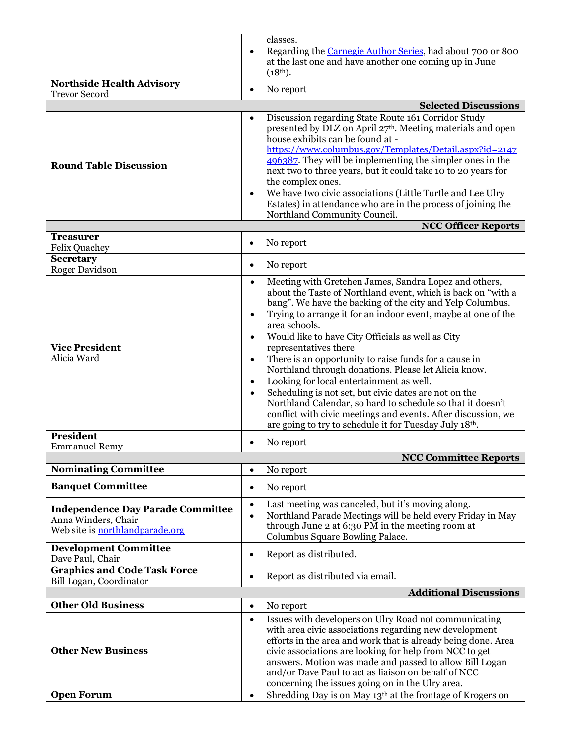|                                                                 |           | classes.                                                                                                                    |
|-----------------------------------------------------------------|-----------|-----------------------------------------------------------------------------------------------------------------------------|
|                                                                 | $\bullet$ | Regarding the Carnegie Author Series, had about 700 or 800                                                                  |
|                                                                 |           | at the last one and have another one coming up in June                                                                      |
|                                                                 |           | $(18th)$ .                                                                                                                  |
| <b>Northside Health Advisory</b><br><b>Trevor Secord</b>        | $\bullet$ | No report                                                                                                                   |
|                                                                 |           | <b>Selected Discussions</b>                                                                                                 |
|                                                                 | $\bullet$ | Discussion regarding State Route 161 Corridor Study                                                                         |
|                                                                 |           | presented by DLZ on April 27th. Meeting materials and open                                                                  |
|                                                                 |           | house exhibits can be found at -                                                                                            |
|                                                                 |           | https://www.columbus.gov/Templates/Detail.aspx?id=2147                                                                      |
| <b>Round Table Discussion</b>                                   |           | 496387. They will be implementing the simpler ones in the                                                                   |
|                                                                 |           | next two to three years, but it could take 10 to 20 years for                                                               |
|                                                                 | $\bullet$ | the complex ones.<br>We have two civic associations (Little Turtle and Lee Ulry                                             |
|                                                                 |           | Estates) in attendance who are in the process of joining the                                                                |
|                                                                 |           | Northland Community Council.                                                                                                |
|                                                                 |           | <b>NCC Officer Reports</b>                                                                                                  |
| <b>Treasurer</b><br><b>Felix Quachey</b>                        | ٠         | No report                                                                                                                   |
| <b>Secretary</b>                                                |           |                                                                                                                             |
| Roger Davidson                                                  | $\bullet$ | No report                                                                                                                   |
|                                                                 | $\bullet$ | Meeting with Gretchen James, Sandra Lopez and others,                                                                       |
|                                                                 |           | about the Taste of Northland event, which is back on "with a                                                                |
|                                                                 |           | bang". We have the backing of the city and Yelp Columbus.                                                                   |
|                                                                 | $\bullet$ | Trying to arrange it for an indoor event, maybe at one of the<br>area schools.                                              |
|                                                                 | $\bullet$ | Would like to have City Officials as well as City                                                                           |
| <b>Vice President</b>                                           |           | representatives there                                                                                                       |
| Alicia Ward                                                     | $\bullet$ | There is an opportunity to raise funds for a cause in                                                                       |
|                                                                 |           | Northland through donations. Please let Alicia know.                                                                        |
|                                                                 | $\bullet$ | Looking for local entertainment as well.                                                                                    |
|                                                                 | $\bullet$ | Scheduling is not set, but civic dates are not on the                                                                       |
|                                                                 |           | Northland Calendar, so hard to schedule so that it doesn't<br>conflict with civic meetings and events. After discussion, we |
|                                                                 |           | are going to try to schedule it for Tuesday July 18th.                                                                      |
| <b>President</b>                                                |           |                                                                                                                             |
| <b>Emmanuel Remy</b>                                            | ٠         | No report                                                                                                                   |
|                                                                 |           | <b>NCC Committee Reports</b>                                                                                                |
| <b>Nominating Committee</b>                                     | $\bullet$ | No report                                                                                                                   |
| <b>Banquet Committee</b>                                        | $\bullet$ | No report                                                                                                                   |
|                                                                 | $\bullet$ | Last meeting was canceled, but it's moving along.                                                                           |
| <b>Independence Day Parade Committee</b><br>Anna Winders, Chair | $\bullet$ | Northland Parade Meetings will be held every Friday in May                                                                  |
| Web site is northlandparade.org                                 |           | through June 2 at 6:30 PM in the meeting room at                                                                            |
|                                                                 |           | Columbus Square Bowling Palace.                                                                                             |
| <b>Development Committee</b><br>Dave Paul, Chair                | $\bullet$ | Report as distributed.                                                                                                      |
| <b>Graphics and Code Task Force</b>                             |           |                                                                                                                             |
| Bill Logan, Coordinator                                         | $\bullet$ | Report as distributed via email.                                                                                            |
|                                                                 |           | <b>Additional Discussions</b>                                                                                               |
| <b>Other Old Business</b>                                       | $\bullet$ | No report                                                                                                                   |
|                                                                 | $\bullet$ | Issues with developers on Ulry Road not communicating                                                                       |
|                                                                 |           | with area civic associations regarding new development<br>efforts in the area and work that is already being done. Area     |
| <b>Other New Business</b>                                       |           | civic associations are looking for help from NCC to get                                                                     |
|                                                                 |           | answers. Motion was made and passed to allow Bill Logan                                                                     |
|                                                                 |           | and/or Dave Paul to act as liaison on behalf of NCC                                                                         |
|                                                                 |           | concerning the issues going on in the Ulry area.                                                                            |
| <b>Open Forum</b>                                               | $\bullet$ | Shredding Day is on May 13th at the frontage of Krogers on                                                                  |